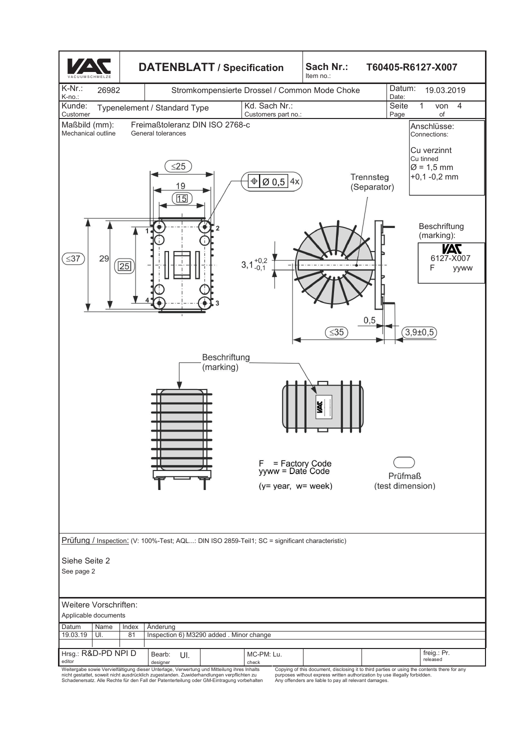

designer |<br>Weitergabe sowie Vervielfältigung dieser Unterlage, Verwertung und Mitteilung ihre Inhalts<br>nicht gestattet, soweit nicht ausdrücklich zugestanden. Zuwiderhandlungen verpflichten zu<br>Schadenersatz. Alle Rechte fü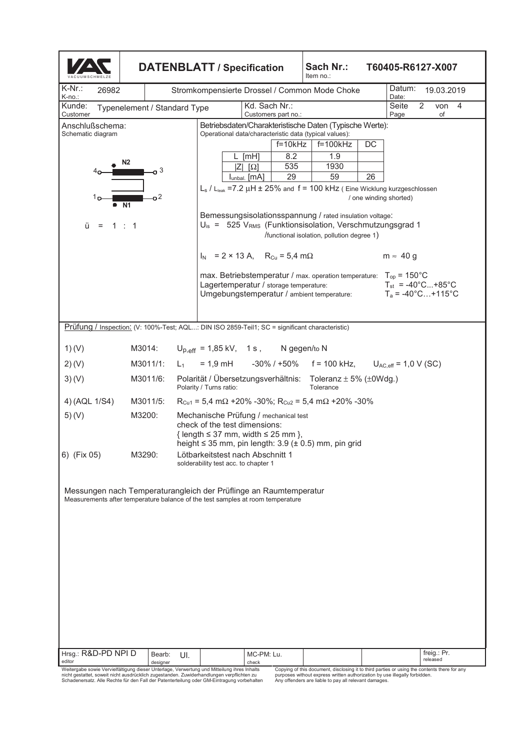| <b>DATENBLATT / Specification</b>                                                                                                                   |                                                                                                                    |                                                                                                                                                                                                         |       |                                                                                                                                                                                          |                 |                     |                                                    |  | Sach Nr.:<br>T60405-R6127-X007<br>Item no.:                                                                                  |                               |                                                       |  |                         |  |  |
|-----------------------------------------------------------------------------------------------------------------------------------------------------|--------------------------------------------------------------------------------------------------------------------|---------------------------------------------------------------------------------------------------------------------------------------------------------------------------------------------------------|-------|------------------------------------------------------------------------------------------------------------------------------------------------------------------------------------------|-----------------|---------------------|----------------------------------------------------|--|------------------------------------------------------------------------------------------------------------------------------|-------------------------------|-------------------------------------------------------|--|-------------------------|--|--|
| $K-Nr$ .:<br>26982<br>K-no.:                                                                                                                        | Stromkompensierte Drossel / Common Mode Choke                                                                      |                                                                                                                                                                                                         |       |                                                                                                                                                                                          |                 |                     |                                                    |  |                                                                                                                              | Datum:<br>19.03.2019<br>Date: |                                                       |  |                         |  |  |
| Kd. Sach Nr.:<br>2<br>Kunde:<br>Seite<br>von<br>Typenelement / Standard Type<br>Customer<br>Customers part no.:<br>Page<br>of                       |                                                                                                                    |                                                                                                                                                                                                         |       |                                                                                                                                                                                          |                 |                     |                                                    |  |                                                                                                                              |                               |                                                       |  | $\overline{4}$          |  |  |
| Anschlußschema:<br>Schematic diagram                                                                                                                |                                                                                                                    |                                                                                                                                                                                                         |       |                                                                                                                                                                                          |                 |                     |                                                    |  | Betriebsdaten/Charakteristische Daten (Typische Werte):<br>Operational data/characteristic data (typical values):            |                               |                                                       |  |                         |  |  |
|                                                                                                                                                     |                                                                                                                    |                                                                                                                                                                                                         |       |                                                                                                                                                                                          |                 |                     | $f=10kHz$                                          |  | f=100kHz                                                                                                                     | DC                            |                                                       |  |                         |  |  |
|                                                                                                                                                     | N <sub>2</sub>                                                                                                     |                                                                                                                                                                                                         |       |                                                                                                                                                                                          | $L$ [mH]<br>ΙZΙ | $[\Omega]$          | 8.2<br>535                                         |  | 1.9<br>1930                                                                                                                  |                               |                                                       |  |                         |  |  |
|                                                                                                                                                     |                                                                                                                    | 3                                                                                                                                                                                                       |       |                                                                                                                                                                                          | lunbal. [MA]    |                     | 29                                                 |  | 59                                                                                                                           | 26                            |                                                       |  |                         |  |  |
| ה 1<br>$\bullet$ N1                                                                                                                                 | $L_s$ / $L_{leak}$ =7.2 $\mu$ H $\pm$ 25% and f = 100 kHz (Eine Wicklung kurzgeschlossen<br>/ one winding shorted) |                                                                                                                                                                                                         |       |                                                                                                                                                                                          |                 |                     |                                                    |  |                                                                                                                              |                               |                                                       |  |                         |  |  |
| ü<br>$\equiv$                                                                                                                                       | 1:1                                                                                                                |                                                                                                                                                                                                         |       | Bemessungsisolationsspannung / rated insulation voltage:<br>$U_{\text{is}} = 525 V_{\text{RMS}}$ (Funktionsisolation, Verschmutzungsgrad 1<br>/functional isolation, pollution degree 1) |                 |                     |                                                    |  |                                                                                                                              |                               |                                                       |  |                         |  |  |
|                                                                                                                                                     |                                                                                                                    |                                                                                                                                                                                                         |       |                                                                                                                                                                                          |                 |                     | $I_N$ = 2 × 13 A, R <sub>Cu</sub> = 5,4 m $\Omega$ |  |                                                                                                                              |                               | $m \approx 40 g$                                      |  |                         |  |  |
|                                                                                                                                                     |                                                                                                                    |                                                                                                                                                                                                         |       |                                                                                                                                                                                          |                 |                     | Lagertemperatur / storage temperature:             |  | max. Betriebstemperatur / max. operation temperature: $T_{op} = 150^{\circ}$ C<br>Umgebungstemperatur / ambient temperature: |                               | $T_{st}$ = -40°C+85°C<br>$T_a = -40^{\circ}$ C +115°C |  |                         |  |  |
|                                                                                                                                                     | Prüfung / Inspection: (V: 100%-Test; AQL: DIN ISO 2859-Teil1; SC = significant characteristic)                     |                                                                                                                                                                                                         |       |                                                                                                                                                                                          |                 |                     |                                                    |  |                                                                                                                              |                               |                                                       |  |                         |  |  |
| 1)(V)                                                                                                                                               | M3014:                                                                                                             |                                                                                                                                                                                                         |       |                                                                                                                                                                                          |                 |                     | $U_{p,eff}$ = 1,85 kV, 1 s, N gegen/to N           |  |                                                                                                                              |                               |                                                       |  |                         |  |  |
| 2)(V)                                                                                                                                               | M3011/1:                                                                                                           |                                                                                                                                                                                                         | $L_1$ |                                                                                                                                                                                          |                 |                     |                                                    |  | $= 1.9$ mH $-30\%$ / +50% f = 100 kHz, U <sub>AC,eff</sub> = 1,0 V (SC)                                                      |                               |                                                       |  |                         |  |  |
| 3)(V)                                                                                                                                               |                                                                                                                    | Polarität / Übersetzungsverhältnis: Toleranz ± 5% (±0Wdg.)<br>M3011/6:<br>Polarity / Turns ratio:<br>Tolerance                                                                                          |       |                                                                                                                                                                                          |                 |                     |                                                    |  |                                                                                                                              |                               |                                                       |  |                         |  |  |
| 4) (AQL 1/S4)                                                                                                                                       | M3011/5:                                                                                                           |                                                                                                                                                                                                         |       |                                                                                                                                                                                          |                 |                     |                                                    |  | $R_{Cu1}$ = 5,4 m $\Omega$ +20% -30%; $R_{Cu2}$ = 5,4 m $\Omega$ +20% -30%                                                   |                               |                                                       |  |                         |  |  |
| 5)(V)                                                                                                                                               |                                                                                                                    | M3200:<br>Mechanische Prüfung / mechanical test<br>check of the test dimensions:<br>$\{ length \leq 37$ mm, width $\leq 25$ mm $\}$ ,<br>height $\leq$ 35 mm, pin length: 3.9 ( $\pm$ 0.5) mm, pin grid |       |                                                                                                                                                                                          |                 |                     |                                                    |  |                                                                                                                              |                               |                                                       |  |                         |  |  |
| 6) (Fix 05)                                                                                                                                         | M3290:<br>Lötbarkeitstest nach Abschnitt 1<br>solderability test acc. to chapter 1                                 |                                                                                                                                                                                                         |       |                                                                                                                                                                                          |                 |                     |                                                    |  |                                                                                                                              |                               |                                                       |  |                         |  |  |
| Messungen nach Temperaturangleich der Prüflinge an Raumtemperatur<br>Measurements after temperature balance of the test samples at room temperature |                                                                                                                    |                                                                                                                                                                                                         |       |                                                                                                                                                                                          |                 |                     |                                                    |  |                                                                                                                              |                               |                                                       |  |                         |  |  |
| Hrsg.: R&D-PD NPI D<br>editor<br>Weitergabe sowie Vervielfältigung dieser Unterlage. Verwerfung und Mitteilung ihres Inhalts                        |                                                                                                                    | Bearb:<br>designer                                                                                                                                                                                      | UI.   |                                                                                                                                                                                          |                 | MC-PM: Lu.<br>check |                                                    |  | Copying of this document disclosing it to third parties or using the contents there for any                                  |                               |                                                       |  | freig.: Pr.<br>released |  |  |

Weitergabe sowie Vervielfältigung dieser Unterlage, Verwertung und Mitteilung ihres Inhalts<br>nicht gestattet, soweit nicht ausdrücklich zugestanden. Zuwiderhandlungen verpflichten zu<br>Schadenersatz. Alle Rechte für den Fall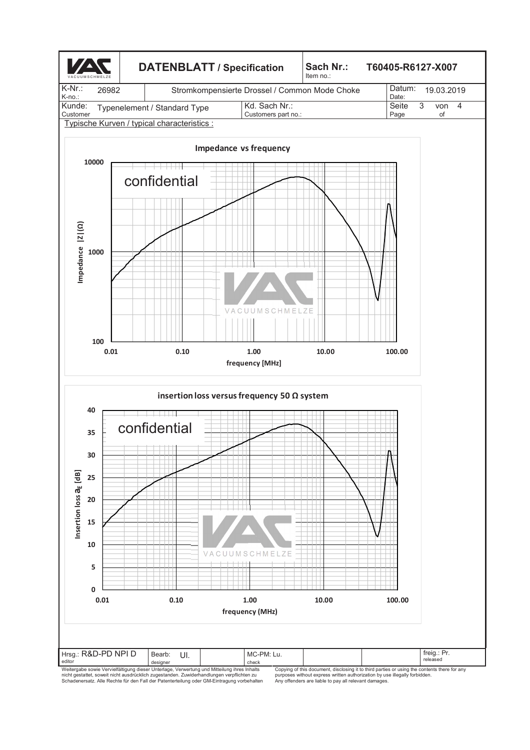

designer |<br>Weitergabe sowie Vervielfältigung dieser Unterlage, Verwertung und Mitteilung ihres Inhalts<br>nicht gestattet, soweit nicht ausdrücklich zugestanden. Zuwiderhandlungen verpflichten zu<br>Schadenersatz. Alle Rechte f